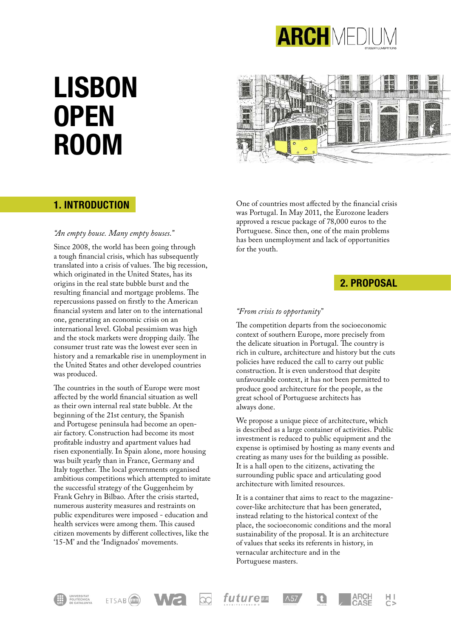

# **LISBON OPEN ROOM**

# **BR**

# **1. INTRODUCTION**

#### *"An empty house. Many empty houses."*

Since 2008, the world has been going through a tough financial crisis, which has subsequently translated into a crisis of values. The big recession, which originated in the United States, has its origins in the real state bubble burst and the resulting financial and mortgage problems. The repercussions passed on firstly to the American financial system and later on to the international one, generating an economic crisis on an international level. Global pessimism was high and the stock markets were dropping daily. The consumer trust rate was the lowest ever seen in history and a remarkable rise in unemployment in the United States and other developed countries was produced.

The countries in the south of Europe were most affected by the world financial situation as well as their own internal real state bubble. At the beginning of the 21st century, the Spanish and Portugese peninsula had become an openair factory. Construction had become its most profitable industry and apartment values had risen exponentially. In Spain alone, more housing was built yearly than in France, Germany and Italy together. The local governments organised ambitious competitions which attempted to imitate the successful strategy of the Guggenheim by Frank Gehry in Bilbao. After the crisis started, numerous austerity measures and restraints on public expenditures were imposed - education and health services were among them. This caused citizen movements by different collectives, like the '15-M' and the 'Indignados' movements.

One of countries most affected by the financial crisis was Portugal. In May 2011, the Eurozone leaders approved a rescue package of 78,000 euros to the Portuguese. Since then, one of the main problems has been unemployment and lack of opportunities for the youth.

# **2. PROPOSAL**

빙

#### *"From crisis to opportunity"*

The competition departs from the socioeconomic context of southern Europe, more precisely from the delicate situation in Portugal. The country is rich in culture, architecture and history but the cuts policies have reduced the call to carry out public construction. It is even understood that despite unfavourable context, it has not been permitted to produce good architecture for the people, as the great school of Portuguese architects has always done.

We propose a unique piece of architecture, which is described as a large container of activities. Public investment is reduced to public equipment and the expense is optimised by hosting as many events and creating as many uses for the building as possible. It is a hall open to the citizens, activating the surrounding public space and articulating good architecture with limited resources.

It is a container that aims to react to the magazinecover-like architecture that has been generated, instead relating to the historical context of the place, the socioeconomic conditions and the moral sustainability of the proposal. It is an architecture of values that seeks its referents in history, in vernacular architecture and in the Portuguese masters.







future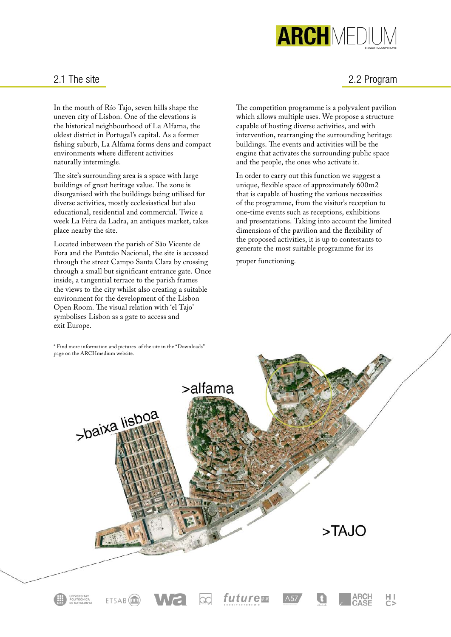

#### 2.1 The site

In the mouth of Río Tajo, seven hills shape the uneven city of Lisbon. One of the elevations is the historical neighbourhood of La Alfama, the oldest district in Portugal's capital. As a former fishing suburb, La Alfama forms dens and compact environments where different activities naturally intermingle.

The site's surrounding area is a space with large buildings of great heritage value. The zone is disorganised with the buildings being utilised for diverse activities, mostly ecclesiastical but also educational, residential and commercial. Twice a week La Feira da Ladra, an antiques market, takes place nearby the site.

Located inbetween the parish of São Vicente de Fora and the Panteão Nacional, the site is accessed through the street Campo Santa Clara by crossing through a small but significant entrance gate. Once inside, a tangential terrace to the parish frames the views to the city whilst also creating a suitable environment for the development of the Lisbon Open Room. The visual relation with 'el Tajo' symbolises Lisbon as a gate to access and exit Europe.

\* Find more information and pictures of the site in the "Downloads"

# 2.2 Program

The competition programme is a polyvalent pavilion which allows multiple uses. We propose a structure capable of hosting diverse activities, and with intervention, rearranging the surrounding heritage buildings. The events and activities will be the engine that activates the surrounding public space and the people, the ones who activate it.

In order to carry out this function we suggest a unique, flexible space of approximately 600m2 that is capable of hosting the various necessities of the programme, from the visitor's reception to one-time events such as receptions, exhibitions and presentations. Taking into account the limited dimensions of the pavilion and the flexibility of the proposed activities, it is up to contestants to generate the most suitable programme for its

proper functioning.

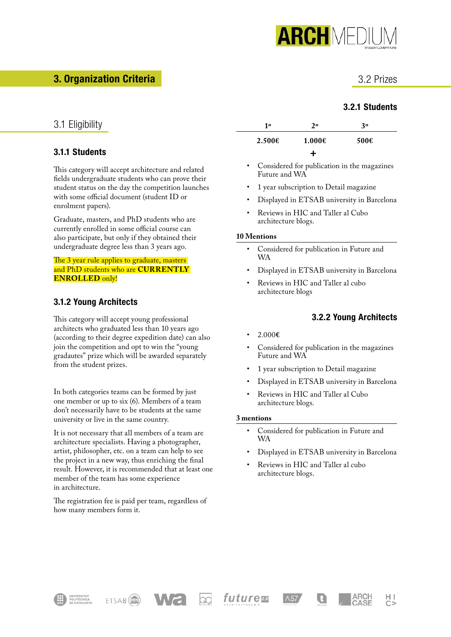

# **3. Organization Criteria**

# 3.2 Prizes

# **3.2.1 Students**

# 3.1 Eligibility

#### **3.1.1 Students**

This category will accept architecture and related fields undergraduate students who can prove their student status on the day the competition launches with some official document (student ID or enrolment papers).

Graduate, masters, and PhD students who are currently enrolled in some official course can also participate, but only if they obtained their undergraduate degree less than 3 years ago.

#### The 3 year rule applies to graduate, masters and PhD students who are **CURRENTLY ENROLLED** only!

#### **3.1.2 Young Architects**

This category will accept young professional architects who graduated less than 10 years ago (according to their degree expedition date) can also join the competition and opt to win the "young gradautes" prize which will be awarded separately from the student prizes.

In both categories teams can be formed by just one member or up to six (6). Members of a team don't necessarily have to be students at the same university or live in the same country.

It is not necessary that all members of a team are architecture specialists. Having a photographer, artist, philosopher, etc. on a team can help to see the project in a new way, thus enriching the final result. However, it is recommended that at least one member of the team has some experience in architecture.

The registration fee is paid per team, regardless of how many members form it.

| 10     | 2 <sub>o</sub> | 30   |
|--------|----------------|------|
| 2.500E | $1.000 \in$    | 500E |
|        |                |      |

- Considered for publication in the magazines Future and WA
- 1 year subscription to Detail magazine
- Displayed in ETSAB university in Barcelona
- Reviews in HIC and Taller al Cubo architecture blogs.

#### **10 Mentions**

- Considered for publication in Future and WA
- Displayed in ETSAB university in Barcelona
- Reviews in HIC and Taller al cubo architecture blogs

#### **3.2.2 Young Architects**

**ARCH** 

CASE

빙

- 2.000**€**
- Considered for publication in the magazines Future and WA
- 1 year subscription to Detail magazine
- Displayed in ETSAB university in Barcelona
- Reviews in HIC and Taller al Cubo architecture blogs.

#### **3 mentions**

- Considered for publication in Future and WA
- Displayed in ETSAB university in Barcelona

u

• Reviews in HIC and Taller al cubo architecture blogs.

 $\Lambda$ 57







future**B**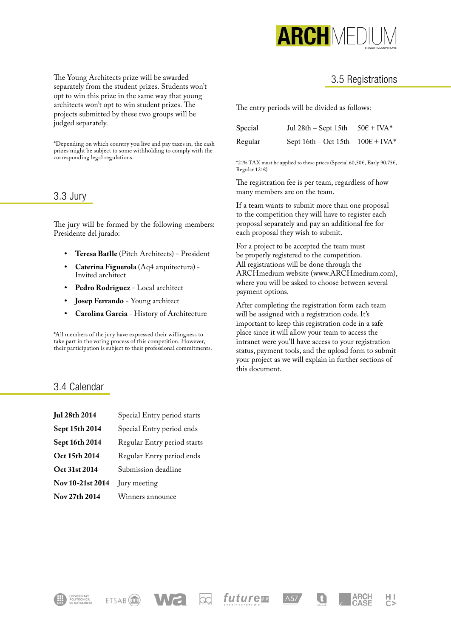

The Young Architects prize will be awarded separately from the student prizes. Students won't opt to win this prize in the same way that young architects won't opt to win student prizes. The projects submitted by these two groups will be judged separately.

\*Depending on which country you live and pay taxes in, the cash prizes might be subject to some withholding to comply with the corresponding legal regulations.

#### 3.3 Jury

The jury will be formed by the following members: Presidente del jurado:

- **• Teresa Batlle** (Pitch Architects) President
- **• Caterina Figuerola** (Aq4 arquitectura) Invited architect
- **• Pedro Rodriguez**  Local architect
- **• Josep Ferrando** Young architect
- **• Carolina Garcia** History of Architecture

\*All members of the jury have expressed their willingness to take part in the voting process of this competition. However, their participation is subject to their professional commitments.

#### 3.4 Calendar

| <b>Jul 28th 2014</b> | Special Entry period starts |  |
|----------------------|-----------------------------|--|
| Sept 15th 2014       | Special Entry period ends   |  |
| Sept 16th 2014       | Regular Entry period starts |  |
| Oct 15th 2014        | Regular Entry period ends   |  |
| Oct 31st 2014        | Submission deadline         |  |
| Nov 10-21st 2014     | Jury meeting                |  |
| Nov 27th 2014        | Winners announce            |  |

#### 3.5 Registrations

The entry periods will be divided as follows:

| Special | Jul 28th – Sept 15th – $50 \in +$ IVA*      |  |
|---------|---------------------------------------------|--|
| Regular | Sept $16th - Oct 15th$ $100\epsilon + IVA*$ |  |

\*21% TAX must be applied to these prices (Special 60,50€, Early 90,75€, Regular 121€)

The registration fee is per team, regardless of how many members are on the team.

If a team wants to submit more than one proposal to the competition they will have to register each proposal separately and pay an additional fee for each proposal they wish to submit.

For a project to be accepted the team must be properly registered to the competition. All registrations will be done through the ARCHmedium website (www.ARCHmedium.com), where you will be asked to choose between several payment options.

After completing the registration form each team will be assigned with a registration code. It's important to keep this registration code in a safe place since it will allow your team to access the intranet were you'll have access to your registration status, payment tools, and the upload form to submit your project as we will explain in further sections of this document.

 $\frac{H}{C}$ 

**ARCH** 

CASI





*future* 

 $\Lambda$ 57

G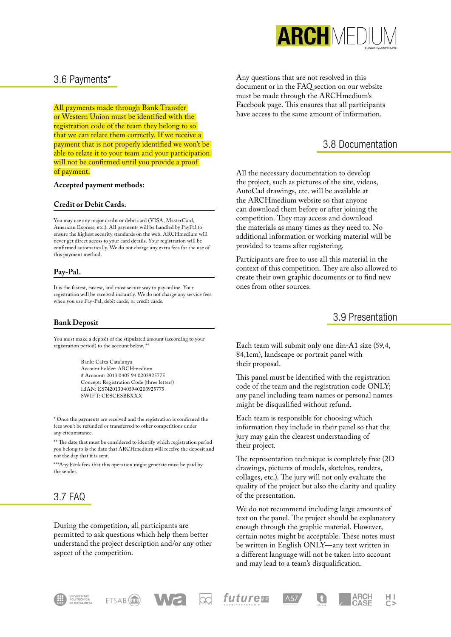

#### 3.6 Payments\*

All payments made through Bank Transfer or Western Union must be identified with the registration code of the team they belong to so that we can relate them correctly. If we receive a payment that is not properly identified we won't be able to relate it to your team and your participation will not be confirmed until you provide a proof of payment.

#### **Accepted payment methods:**

#### **Credit or Debit Cards.**

You may use any major credit or debit card (VISA, MasterCard, American Express, etc.). All payments will be handled by PayPal to ensure the highest security standards on the web. ARCHmedium will never get direct access to your card details. Your registration will be confirmed automatically. We do not charge any extra fees for the use of this payment method.

#### **Pay-Pal.**

It is the fastest, easiest, and most secure way to pay online. Your registration will be received instantly. We do not charge any service fees when you use Pay-Pal, debit cards, or credit cards.

#### **Bank Deposit**

You must make a deposit of the stipulated amount (according to your registration period) to the account below. \*\*

> Bank: Caixa Catalunya Account holder: ARCHmedium # Account: 2013 0405 94 0203925775 Concept: Registration Code (three letters) IBAN: ES7420130405940203925775 SWIFT: CESCESBBXXX

\* Once the payments are received and the registration is confirmed the fees won't be refunded or transferred to other competitions under any circumstance.

\*\* The date that must be considered to identify which registration period you belong to is the date that ARCHmedium will receive the deposit and not the day that it is sent.

\*\*\*Any bank fees that this operation might generate must be paid by the sender.

# 3.7 FAQ

During the competition, all participants are permitted to ask questions which help them better understand the project description and/or any other aspect of the competition.

Any questions that are not resolved in this document or in the FAQ section on our website must be made through the ARCHmedium's Facebook page. This ensures that all participants have access to the same amount of information.

#### 3.8 Documentation

All the necessary documentation to develop the project, such as pictures of the site, videos, AutoCad drawings, etc. will be available at the ARCHmedium website so that anyone can download them before or after joining the competition. They may access and download the materials as many times as they need to. No additional information or working material will be provided to teams after registering.

Participants are free to use all this material in the context of this competition. They are also allowed to create their own graphic documents or to find new ones from other sources.

#### 3.9 Presentation

Each team will submit only one din-A1 size (59,4, 84,1cm), landscape or portrait panel with their proposal.

This panel must be identified with the registration code of the team and the registration code ONLY; any panel including team names or personal names might be disqualified without refund.

Each team is responsible for choosing which information they include in their panel so that the jury may gain the clearest understanding of their project.

The representation technique is completely free (2D drawings, pictures of models, sketches, renders, collages, etc.). The jury will not only evaluate the quality of the project but also the clarity and quality of the presentation.

We do not recommend including large amounts of text on the panel. The project should be explanatory enough through the graphic material. However, certain notes might be acceptable. These notes must be written in English ONLY—any text written in a different language will not be taken into account and may lead to a team's disqualification.

**ARCH** 

нı







future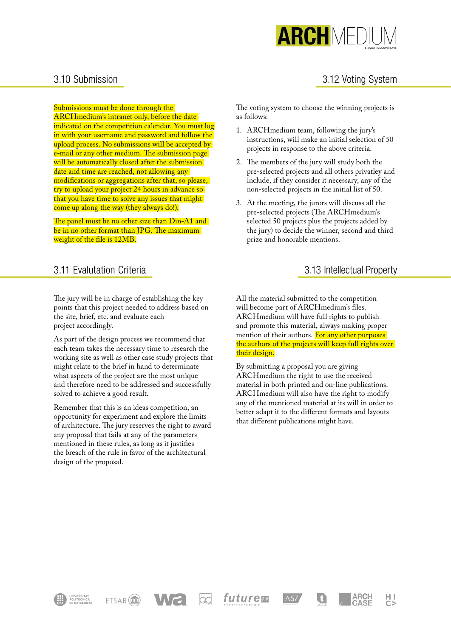

# 3.12 Voting System

#### 3.10 Submission

Submissions must be done through the

ARCHmedium's intranet only, before the date indicated on the competition calendar. You must log in with your username and password and follow the upload process. No submissions will be accepted by e-mail or any other medium. The submission page will be automatically closed after the submission date and time are reached, not allowing any modifications or aggregations after that, so please, try to upload your project 24 hours in advance so that you have time to solve any issues that might come up along the way (they always do!).

The panel must be no other size than Din-A1 and be in no other format than JPG. The maximum weight of the file is 12MB.

# 3.11 Evalutation Criteria

The jury will be in charge of establishing the key points that this project needed to address based on the site, brief, etc. and evaluate each project accordingly.

As part of the design process we recommend that each team takes the necessary time to research the working site as well as other case study projects that might relate to the brief in hand to determinate what aspects of the project are the most unique and therefore need to be addressed and successfully solved to achieve a good result.

Remember that this is an ideas competition, an opportunity for experiment and explore the limits of architecture. The jury reserves the right to award any proposal that fails at any of the parameters mentioned in these rules, as long as it justifies the breach of the rule in favor of the architectural design of the proposal.

ETSAB<sup>(IIII</sup>)

The voting system to choose the winning projects is as follows:

- 1. ARCHmedium team, following the jury's instructions, will make an initial selection of 50 projects in response to the above criteria.
- 2. The members of the jury will study both the pre-selected projects and all others privatley and include, if they consider it necessary, any of the non-selected projects in the initial list of 50.
- 3. At the meeting, the jurors will discuss all the pre-selected projects (The ARCHmedium's selected 50 projects plus the projects added by the jury) to decide the winner, second and third prize and honorable mentions.

#### 3.13 Intellectual Property

**ARCH** 

빙

All the material submitted to the competition will become part of ARCHmedium's files. ARCHmedium will have full rights to publish and promote this material, always making proper mention of their authors. For any other purposes the authors of the projects will keep full rights over their design.

By submitting a proposal you are giving ARCHmedium the right to use the received material in both printed and on-line publications. ARCHmedium will also have the right to modify any of the mentioned material at its will in order to better adapt it to the different formats and layouts that different publications might have.

future

 $\Lambda$ 57

u

œ